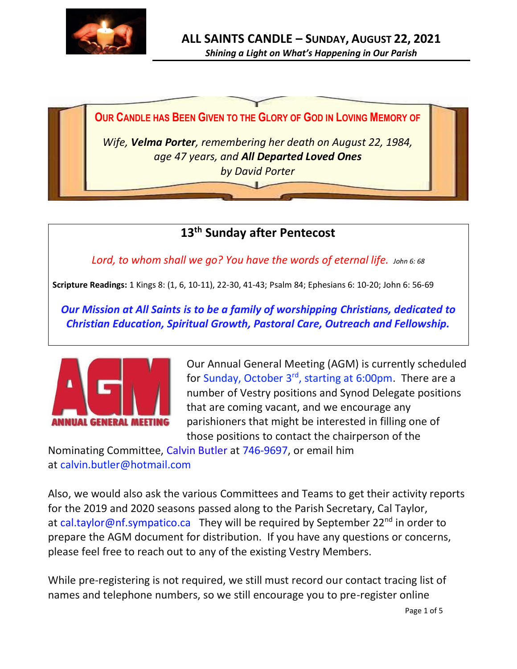



**13 th Sunday after Pentecost**

*Lord, to whom shall we go? You have the words of eternal life. John 6: 68*

**Scripture Readings:** 1 Kings 8: (1, 6, 10-11), 22-30, 41-43; Psalm 84; Ephesians 6: 10-20; John 6: 56-69

*Our Mission at All Saints is to be a family of worshipping Christians, dedicated to Christian Education, Spiritual Growth, Pastoral Care, Outreach and Fellowship.*



Our Annual General Meeting (AGM) is currently scheduled for Sunday, October 3<sup>rd</sup>, starting at 6:00pm. There are a number of Vestry positions and Synod Delegate positions that are coming vacant, and we encourage any parishioners that might be interested in filling one of those positions to contact the chairperson of the

Nominating Committee, Calvin Butler at 746-9697, or email him at calvin.butler@hotmail.com

Also, we would also ask the various Committees and Teams to get their activity reports for the 2019 and 2020 seasons passed along to the Parish Secretary, Cal Taylor, at cal.taylor@nf.sympatico.ca They will be required by September 22<sup>nd</sup> in order to prepare the AGM document for distribution. If you have any questions or concerns, please feel free to reach out to any of the existing Vestry Members.

While pre-registering is not required, we still must record our contact tracing list of names and telephone numbers, so we still encourage you to pre-register online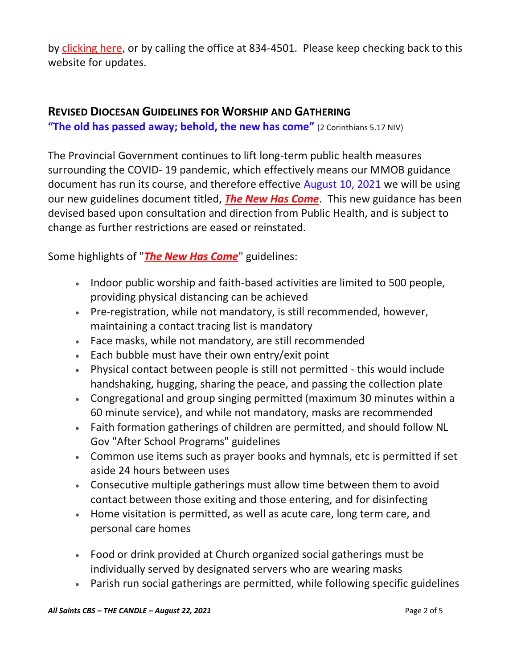by [clicking here,](http://allsaintsparish.ca/covid-pre-registration-form_1) or by calling the office at 834-4501. Please keep checking back to this website for updates.

## **REVISED DIOCESAN GUIDELINES FOR WORSHIP AND GATHERING**

**"The old has passed away; behold, the new has come"** (2 Corinthians 5.17 NIV)

The Provincial Government continues to lift long-term public health measures surrounding the COVID- 19 pandemic, which effectively means our MMOB guidance document has run its course, and therefore effective August 10, 2021 we will be using our new guidelines document titled, *[The New Has Come](https://anglicanenl.net/home/wp-content/uploads/2021/08/The-New-Has-Come-August-10-2021.pdf?fbclid=IwAR2_9nhbxB2LEc3XOqAP_nvoRu4G5Mt6NWIYwOEYNI0OtUl0atv2QwCfCY0)*. This new guidance has been devised based upon consultation and direction from Public Health, and is subject to change as further restrictions are eased or reinstated.

Some highlights of "*[The New Has Come](https://anglicanenl.net/home/wp-content/uploads/2021/08/The-New-Has-Come-August-10-2021.pdf?fbclid=IwAR2_9nhbxB2LEc3XOqAP_nvoRu4G5Mt6NWIYwOEYNI0OtUl0atv2QwCfCY0)*" guidelines:

- Indoor public worship and faith-based activities are limited to 500 people, providing physical distancing can be achieved
- Pre-registration, while not mandatory, is still recommended, however, maintaining a contact tracing list is mandatory
- Face masks, while not mandatory, are still recommended
- Each bubble must have their own entry/exit point
- Physical contact between people is still not permitted this would include handshaking, hugging, sharing the peace, and passing the collection plate
- Congregational and group singing permitted (maximum 30 minutes within a 60 minute service), and while not mandatory, masks are recommended
- Faith formation gatherings of children are permitted, and should follow NL Gov "After School Programs" guidelines
- Common use items such as prayer books and hymnals, etc is permitted if set aside 24 hours between uses
- Consecutive multiple gatherings must allow time between them to avoid contact between those exiting and those entering, and for disinfecting
- Home visitation is permitted, as well as acute care, long term care, and personal care homes
- Food or drink provided at Church organized social gatherings must be individually served by designated servers who are wearing masks
- Parish run social gatherings are permitted, while following specific guidelines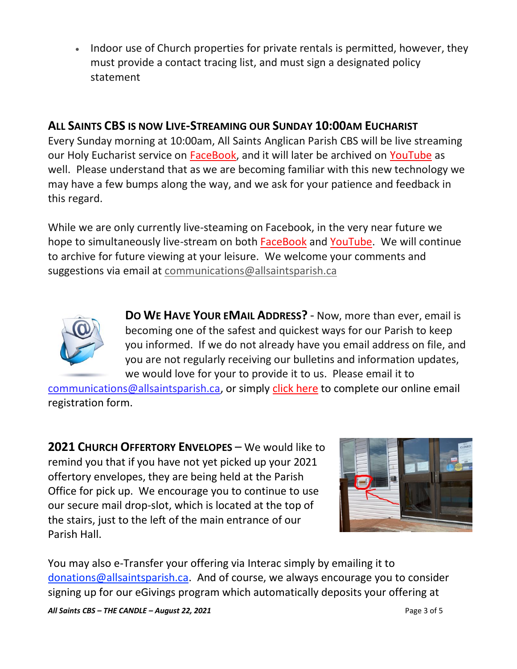• Indoor use of Church properties for private rentals is permitted, however, they must provide a contact tracing list, and must sign a designated policy statement

## **ALL SAINTS CBS IS NOW LIVE-STREAMING OUR SUNDAY 10:00AM EUCHARIST**

Every Sunday morning at 10:00am, All Saints Anglican Parish CBS will be live streaming our Holy Eucharist service on [FaceBook,](https://www.facebook.com/AllSaintsAnglicanChurchCBS) and it will later be archived on [YouTube](https://www.youtube.com/results?search_query=all+saints+anglican+parish+cbs) as well. Please understand that as we are becoming familiar with this new technology we may have a few bumps along the way, and we ask for your patience and feedback in this regard.

While we are only currently live-steaming on Facebook, in the very near future we hope to simultaneously live-stream on both [FaceBook](https://www.facebook.com/AllSaintsAnglicanChurchCBS) and [YouTube.](https://www.youtube.com/results?search_query=all+saints+anglican+parish+cbs) We will continue to archive for future viewing at your leisure. We welcome your comments and suggestions via email at [communications@allsaintsparish.ca](mailto:communications@allsaintsparish.ca)



**DO WE HAVE YOUR EMAIL ADDRESS?** - Now, more than ever, email is becoming one of the safest and quickest ways for our Parish to keep you informed. If we do not already have you email address on file, and you are not regularly receiving our bulletins and information updates, we would love for your to provide it to us. Please email it to

[communications@allsaintsparish.ca,](mailto:communications@allsaintsparish.ca?subject=eMail%20Address%20Update) or simply [click here](http://allsaintsparish.ca/email_updates) to complete our online email registration form.

**2021 CHURCH OFFERTORY ENVELOPES** – We would like to remind you that if you have not yet picked up your 2021 offertory envelopes, they are being held at the Parish Office for pick up. We encourage you to continue to use our secure mail drop-slot, which is located at the top of the stairs, just to the left of the main entrance of our Parish Hall.



You may also e-Transfer your offering via Interac simply by emailing it to [donations@allsaintsparish.ca.](mailto:donations@allsaintsparish.ca) And of course, we always encourage you to consider signing up for our eGivings program which automatically deposits your offering at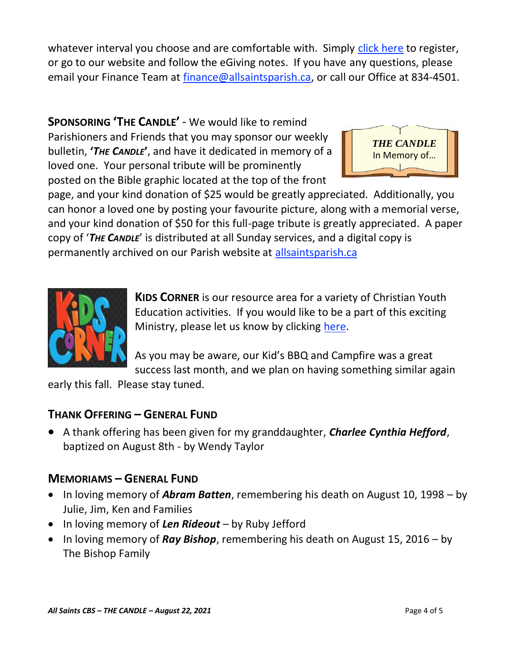whatever interval you choose and are comfortable with. Simply [click here](http://allsaintsparish.ca/egiving-online-information-form) to register, or go to our website and follow the eGiving notes. If you have [any](https://wfsites-to.websitecreatorprotool.com/870a5dd5.com/Admin/%7BSK_NODEID__22939341__SK%7D) questions, please email your Finance Team at [finance@allsaintsparish.ca,](mailto:finance@allsaintsparish.ca) or call our Office at 834-4501.

**SPONSORING 'THE CANDLE'** - We would like to remind Parishioners and Friends that you may sponsor our weekly bulletin, **'***THE CANDLE***'**, and have it dedicated in memory of a loved one. Your personal tribute will be prominently posted on the Bible graphic located at the top of the front



page, and your kind donation of \$25 would be greatly appreciated. Additionally, you can honor a loved one by posting your favourite picture, along with a memorial verse, and your kind donation of \$50 for this full-page tribute is greatly appreciated. A paper copy of '*THE CANDLE*' is distributed at all Sunday services, and a digital copy is permanently archived on our Parish website at [allsaintsparish.ca](http://allsaintsparish.ca/thecandle.html)



**KIDS CORNER** is our resource area for a variety of Christian Youth Education activities. If you would like to be a part of this exciting Ministry, please let us know by clicking [here.](http://allsaintsparish.ca/index.html#comments)

As you may be aware, our Kid's BBQ and Campfire was a great success last month, and we plan on having something similar again

early this fall. Please stay tuned.

## **THANK OFFERING – GENERAL FUND**

• A thank offering has been given for my granddaughter, *Charlee Cynthia Hefford*, baptized on August 8th - by Wendy Taylor

## **MEMORIAMS – GENERAL FUND**

- In loving memory of *Abram Batten*, remembering his death on August 10, 1998 by Julie, Jim, Ken and Families
- In loving memory of *Len Rideout* by Ruby Jefford
- In loving memory of *Ray Bishop*, remembering his death on August 15, 2016 by The Bishop Family